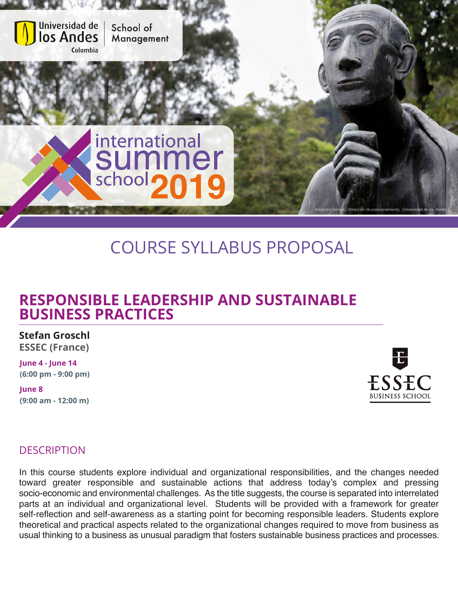

# COURSE SYLLABUS PROPOSAL

## **RESPONSIBLE LEADERSHIP AND SUSTAINABLE BUSINESS PRACTICES**

**Stefan Groschl**

**ESSEC (France)**

**June 4 - June 14 (6:00 pm - 9:00 pm)**

**June 8 (9:00 am - 12:00 m)**



### **DESCRIPTION**

In this course students explore individual and organizational responsibilities, and the changes needed toward greater responsible and sustainable actions that address today's complex and pressing socio-economic and environmental challenges. As the title suggests, the course is separated into interrelated parts at an individual and organizational level. Students will be provided with a framework for greater self-reflection and self-awareness as a starting point for becoming responsible leaders. Students explore theoretical and practical aspects related to the organizational changes required to move from business as usual thinking to a business as unusual paradigm that fosters sustainable business practices and processes.